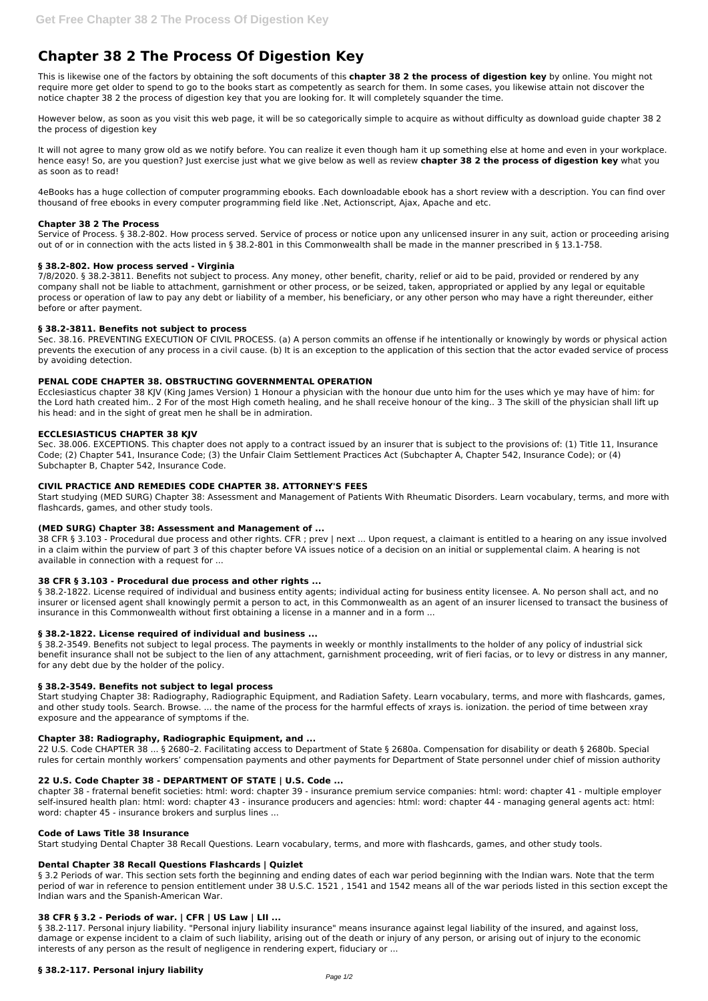# **Chapter 38 2 The Process Of Digestion Key**

This is likewise one of the factors by obtaining the soft documents of this **chapter 38 2 the process of digestion key** by online. You might not require more get older to spend to go to the books start as competently as search for them. In some cases, you likewise attain not discover the notice chapter 38 2 the process of digestion key that you are looking for. It will completely squander the time.

However below, as soon as you visit this web page, it will be so categorically simple to acquire as without difficulty as download guide chapter 38 2 the process of digestion key

It will not agree to many grow old as we notify before. You can realize it even though ham it up something else at home and even in your workplace. hence easy! So, are you question? Just exercise just what we give below as well as review **chapter 38 2 the process of digestion key** what you as soon as to read!

4eBooks has a huge collection of computer programming ebooks. Each downloadable ebook has a short review with a description. You can find over thousand of free ebooks in every computer programming field like .Net, Actionscript, Ajax, Apache and etc.

#### **Chapter 38 2 The Process**

Service of Process. § 38.2-802. How process served. Service of process or notice upon any unlicensed insurer in any suit, action or proceeding arising out of or in connection with the acts listed in § 38.2-801 in this Commonwealth shall be made in the manner prescribed in § 13.1-758.

#### **§ 38.2-802. How process served - Virginia**

7/8/2020. § 38.2-3811. Benefits not subject to process. Any money, other benefit, charity, relief or aid to be paid, provided or rendered by any company shall not be liable to attachment, garnishment or other process, or be seized, taken, appropriated or applied by any legal or equitable process or operation of law to pay any debt or liability of a member, his beneficiary, or any other person who may have a right thereunder, either before or after payment.

#### **§ 38.2-3811. Benefits not subject to process**

§ 38.2-1822. License required of individual and business entity agents; individual acting for business entity licensee. A. No person shall act, and no insurer or licensed agent shall knowingly permit a person to act, in this Commonwealth as an agent of an insurer licensed to transact the business of insurance in this Commonwealth without first obtaining a license in a manner and in a form ...

Sec. 38.16. PREVENTING EXECUTION OF CIVIL PROCESS. (a) A person commits an offense if he intentionally or knowingly by words or physical action prevents the execution of any process in a civil cause. (b) It is an exception to the application of this section that the actor evaded service of process by avoiding detection.

§ 38.2-3549. Benefits not subject to legal process. The payments in weekly or monthly installments to the holder of any policy of industrial sick benefit insurance shall not be subject to the lien of any attachment, garnishment proceeding, writ of fieri facias, or to levy or distress in any manner, for any debt due by the holder of the policy.

#### **PENAL CODE CHAPTER 38. OBSTRUCTING GOVERNMENTAL OPERATION**

Ecclesiasticus chapter 38 KJV (King James Version) 1 Honour a physician with the honour due unto him for the uses which ye may have of him: for the Lord hath created him.. 2 For of the most High cometh healing, and he shall receive honour of the king.. 3 The skill of the physician shall lift up his head: and in the sight of great men he shall be in admiration.

#### **ECCLESIASTICUS CHAPTER 38 KJV**

Sec. 38.006. EXCEPTIONS. This chapter does not apply to a contract issued by an insurer that is subject to the provisions of: (1) Title 11, Insurance Code; (2) Chapter 541, Insurance Code; (3) the Unfair Claim Settlement Practices Act (Subchapter A, Chapter 542, Insurance Code); or (4) Subchapter B, Chapter 542, Insurance Code.

§ 3.2 Periods of war. This section sets forth the beginning and ending dates of each war period beginning with the Indian wars. Note that the term period of war in reference to pension entitlement under 38 U.S.C. 1521 , 1541 and 1542 means all of the war periods listed in this section except the Indian wars and the Spanish-American War.

#### **CIVIL PRACTICE AND REMEDIES CODE CHAPTER 38. ATTORNEY'S FEES**

Start studying (MED SURG) Chapter 38: Assessment and Management of Patients With Rheumatic Disorders. Learn vocabulary, terms, and more with flashcards, games, and other study tools.

§ 38.2-117. Personal injury liability. "Personal injury liability insurance" means insurance against legal liability of the insured, and against loss, damage or expense incident to a claim of such liability, arising out of the death or injury of any person, or arising out of injury to the economic interests of any person as the result of negligence in rendering expert, fiduciary or ...

#### **(MED SURG) Chapter 38: Assessment and Management of ...**

38 CFR § 3.103 - Procedural due process and other rights. CFR ; prev | next ... Upon request, a claimant is entitled to a hearing on any issue involved in a claim within the purview of part 3 of this chapter before VA issues notice of a decision on an initial or supplemental claim. A hearing is not available in connection with a request for ...

#### **38 CFR § 3.103 - Procedural due process and other rights ...**

#### **§ 38.2-1822. License required of individual and business ...**

#### **§ 38.2-3549. Benefits not subject to legal process**

Start studying Chapter 38: Radiography, Radiographic Equipment, and Radiation Safety. Learn vocabulary, terms, and more with flashcards, games, and other study tools. Search. Browse. ... the name of the process for the harmful effects of xrays is. ionization. the period of time between xray exposure and the appearance of symptoms if the.

#### **Chapter 38: Radiography, Radiographic Equipment, and ...**

22 U.S. Code CHAPTER 38 ... § 2680–2. Facilitating access to Department of State § 2680a. Compensation for disability or death § 2680b. Special

rules for certain monthly workers' compensation payments and other payments for Department of State personnel under chief of mission authority

## **22 U.S. Code Chapter 38 - DEPARTMENT OF STATE | U.S. Code ...**

chapter 38 - fraternal benefit societies: html: word: chapter 39 - insurance premium service companies: html: word: chapter 41 - multiple employer self-insured health plan: html: word: chapter 43 - insurance producers and agencies: html: word: chapter 44 - managing general agents act: html: word: chapter 45 - insurance brokers and surplus lines ...

#### **Code of Laws Title 38 Insurance**

Start studying Dental Chapter 38 Recall Questions. Learn vocabulary, terms, and more with flashcards, games, and other study tools.

### **Dental Chapter 38 Recall Questions Flashcards | Quizlet**

# **38 CFR § 3.2 - Periods of war. | CFR | US Law | LII ...**

# **§ 38.2-117. Personal injury liability**